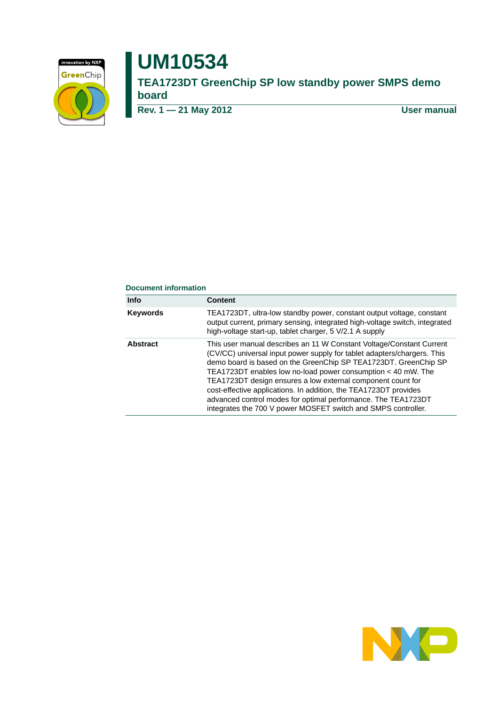

# **UM10534**

**TEA1723DT GreenChip SP low standby power SMPS demo board**

**Rev. 1 — 21 May 2012 User manual**

#### **Document information**

| <b>Info</b>     | <b>Content</b>                                                                                                                                                                                                                                                                                                                                                                                                                                                                                                                                          |
|-----------------|---------------------------------------------------------------------------------------------------------------------------------------------------------------------------------------------------------------------------------------------------------------------------------------------------------------------------------------------------------------------------------------------------------------------------------------------------------------------------------------------------------------------------------------------------------|
| <b>Keywords</b> | TEA1723DT, ultra-low standby power, constant output voltage, constant<br>output current, primary sensing, integrated high-voltage switch, integrated<br>high-voltage start-up, tablet charger, 5 V/2.1 A supply                                                                                                                                                                                                                                                                                                                                         |
| <b>Abstract</b> | This user manual describes an 11 W Constant Voltage/Constant Current<br>(CV/CC) universal input power supply for tablet adapters/chargers. This<br>demo board is based on the GreenChip SP TEA1723DT. GreenChip SP<br>TEA1723DT enables low no-load power consumption < 40 mW. The<br>TEA1723DT design ensures a low external component count for<br>cost-effective applications. In addition, the TEA1723DT provides<br>advanced control modes for optimal performance. The TEA1723DT<br>integrates the 700 V power MOSFET switch and SMPS controller. |

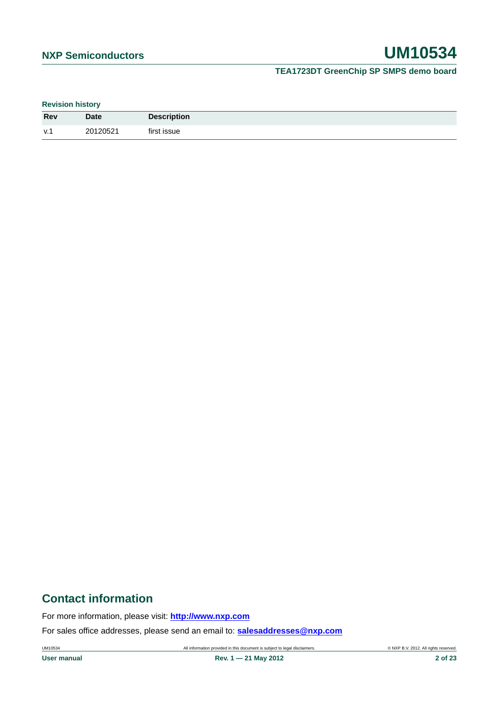# **TEA1723DT GreenChip SP SMPS demo board**

**Revision history**

| <b>Rev</b> | <b>Date</b> | <b>Description</b> |
|------------|-------------|--------------------|
| V.1        | 20120521    | first issue        |

# **Contact information**

For more information, please visit: **http://www.nxp.com**

For sales office addresses, please send an email to: **salesaddresses@nxp.com**

UM10534 All information provided in this document is subject to legal disclaimers. © NXP B.V. 2012. All rights reserved.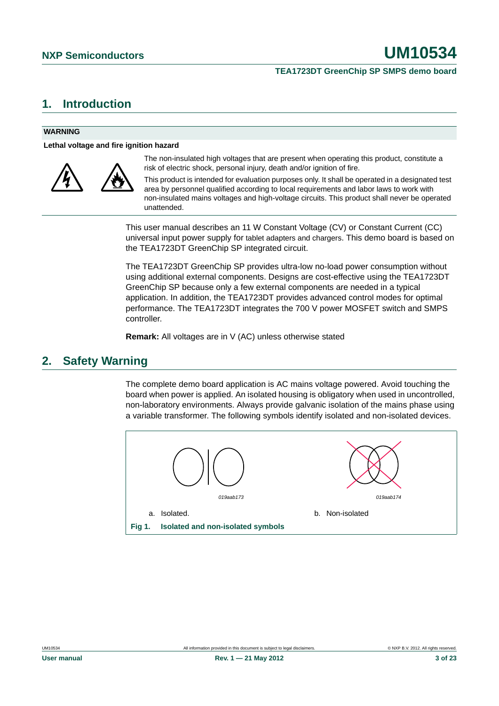#### **TEA1723DT GreenChip SP SMPS demo board**

# <span id="page-2-0"></span>**1. Introduction**

#### **WARNING**

**Lethal voltage and fire ignition hazard**



The non-insulated high voltages that are present when operating this product, constitute a risk of electric shock, personal injury, death and/or ignition of fire.

This product is intended for evaluation purposes only. It shall be operated in a designated test area by personnel qualified according to local requirements and labor laws to work with non-insulated mains voltages and high-voltage circuits. This product shall never be operated unattended.

This user manual describes an 11 W Constant Voltage (CV) or Constant Current (CC) universal input power supply for tablet adapters and chargers. This demo board is based on the TEA1723DT GreenChip SP integrated circuit.

The TEA1723DT GreenChip SP provides ultra-low no-load power consumption without using additional external components. Designs are cost-effective using the TEA1723DT GreenChip SP because only a few external components are needed in a typical application. In addition, the TEA1723DT provides advanced control modes for optimal performance. The TEA1723DT integrates the 700 V power MOSFET switch and SMPS controller.

**Remark:** All voltages are in V (AC) unless otherwise stated

# <span id="page-2-1"></span>**2. Safety Warning**

The complete demo board application is AC mains voltage powered. Avoid touching the board when power is applied. An isolated housing is obligatory when used in uncontrolled, non-laboratory environments. Always provide galvanic isolation of the mains phase using a variable transformer. The following symbols identify isolated and non-isolated devices.

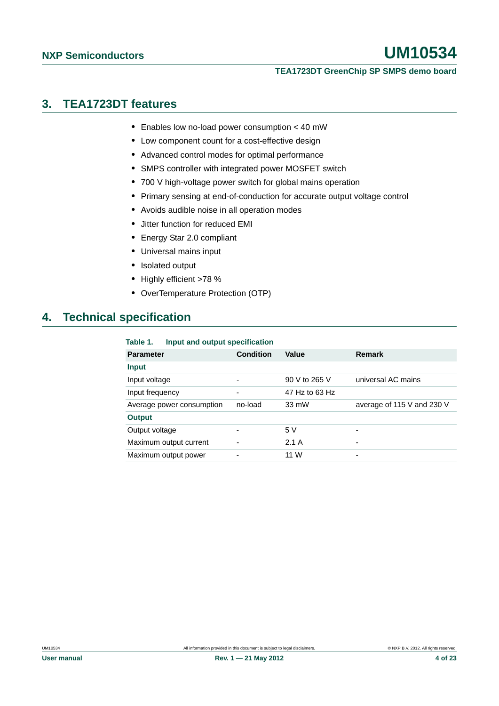#### **TEA1723DT GreenChip SP SMPS demo board**

# <span id="page-3-0"></span>**3. TEA1723DT features**

- **•** Enables low no-load power consumption < 40 mW
- **•** Low component count for a cost-effective design
- **•** Advanced control modes for optimal performance
- **•** SMPS controller with integrated power MOSFET switch
- **•** 700 V high-voltage power switch for global mains operation
- **•** Primary sensing at end-of-conduction for accurate output voltage control
- **•** Avoids audible noise in all operation modes
- **•** Jitter function for reduced EMI
- **•** Energy Star 2.0 compliant
- **•** Universal mains input
- **•** Isolated output
- **•** Highly efficient >78 %
- **•** OverTemperature Protection (OTP)

# <span id="page-3-1"></span>**4. Technical specification**

#### **Table 1. Input and output specification**

| <b>Parameter</b>          | <b>Condition</b> | Value          | Remark                     |
|---------------------------|------------------|----------------|----------------------------|
| <b>Input</b>              |                  |                |                            |
| Input voltage             |                  | 90 V to 265 V  | universal AC mains         |
| Input frequency           | -                | 47 Hz to 63 Hz |                            |
| Average power consumption | no-load          | 33 mW          | average of 115 V and 230 V |
| <b>Output</b>             |                  |                |                            |
| Output voltage            | ۰                | 5V             | ۰                          |
| Maximum output current    |                  | 2.1A           | ۰                          |
| Maximum output power      |                  | 11 W           | ۰                          |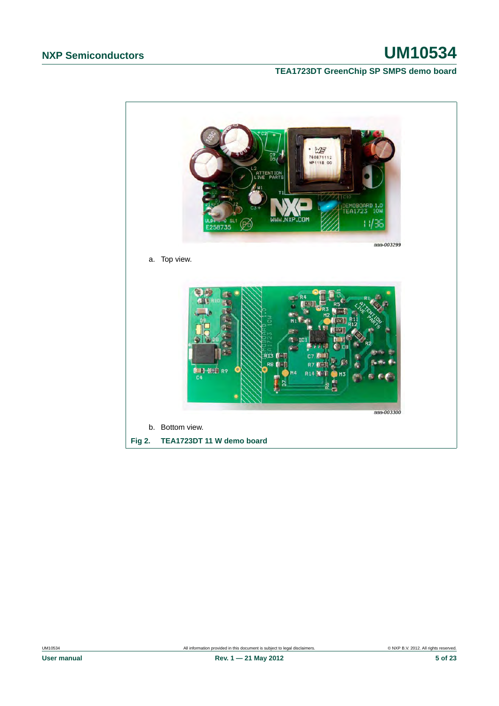### **TEA1723DT GreenChip SP SMPS demo board**

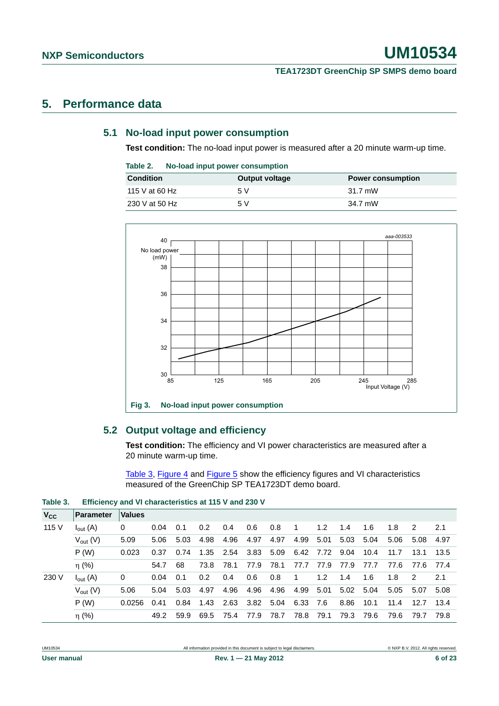#### **TEA1723DT GreenChip SP SMPS demo board**

# <span id="page-5-2"></span><span id="page-5-1"></span>**5. Performance data**

### **5.1 No-load input power consumption**

**Test condition:** The no-load input power is measured after a 20 minute warm-up time.

| Table 2. |  | No-load input power consumption |
|----------|--|---------------------------------|
|          |  |                                 |

| <b>Condition</b> | Output voltage | <b>Power consumption</b> |
|------------------|----------------|--------------------------|
| 115 V at 60 Hz   | 5 V            | 31.7 mW                  |
| 230 V at 50 Hz   | 5 V            | 34.7 mW                  |



#### <span id="page-5-3"></span>**5.2 Output voltage and efficiency**

**Test condition:** The efficiency and VI power characteristics are measured after a 20 minute warm-up time.

[Table 3](#page-5-0), [Figure 4](#page-6-1) and [Figure 5](#page-6-0) show the efficiency figures and VI characteristics measured of the GreenChip SP TEA1723DT demo board.

<span id="page-5-0"></span>**Table 3. Efficiency and VI characteristics at 115 V and 230 V**

| $V_{\rm CC}$ | <b>Parameter</b>    | <b>Values</b> |      |      |                                          |           |      |      |                |      |                     |      |      |                |        |
|--------------|---------------------|---------------|------|------|------------------------------------------|-----------|------|------|----------------|------|---------------------|------|------|----------------|--------|
| 115 V        | $I_{\text{out}}(A)$ | 0             | 0.04 | 0.1  | 0.2                                      | 0.4       | 0.6  | 0.8  | $\overline{1}$ | 1.2  | 1.4                 | 1.6  | 1.8  | $\overline{2}$ | 2.1    |
|              | $V_{\text{out}}(V)$ | 5.09          | 5.06 | 5.03 | 4.98                                     | 4.96      | 4.97 | 4.97 | 4.99           | 5.01 | 5.03 5.04           |      | 5.06 | 5.08           | - 4.97 |
|              | P(W)                | 0.023         | 0.37 | 0.74 | 1.35  2.54  3.83  5.09  6.42  7.72  9.04 |           |      |      |                |      |                     | 10.4 | 11.7 | 13.1 13.5      |        |
|              | $\eta$ (%)          |               | 54.7 | -68  | 73.8                                     | 78.1      | 77.9 | 78.1 |                |      | 77.7 77.9 77.9 77.7 |      |      | 77.6 77.6 77.4 |        |
| 230 V        | $I_{\text{out}}(A)$ | 0             | 0.04 | 0.1  | 0.2                                      | 0.4       | 0.6  | 0.8  | $\overline{1}$ | 1.2  | 1.4                 | 1.6  | 1.8  | $\overline{2}$ | 2.1    |
|              | $V_{\text{out}}(V)$ | 5.06          | 5.04 | 5.03 | 4.97                                     | 4.96      | 4.96 | 4.96 | 4.99 5.01      |      | 5.02 5.04           |      | 5.05 | 5.07 5.08      |        |
|              | P(W)                | 0.0256        | 0.41 | 0.84 | 1.43                                     | 2.63 3.82 |      | 5.04 | 6.33 7.6       |      | 8.86                | 10.1 | 11.4 | 12.7           | - 13.4 |
|              | $\eta$ (%)          |               | 49.2 | 59.9 | 69.5                                     | 75.4 77.9 |      | 78.7 | 78.8 79.1      |      | 79.3                | 79.6 | 79.6 | 79.7           | 79.8   |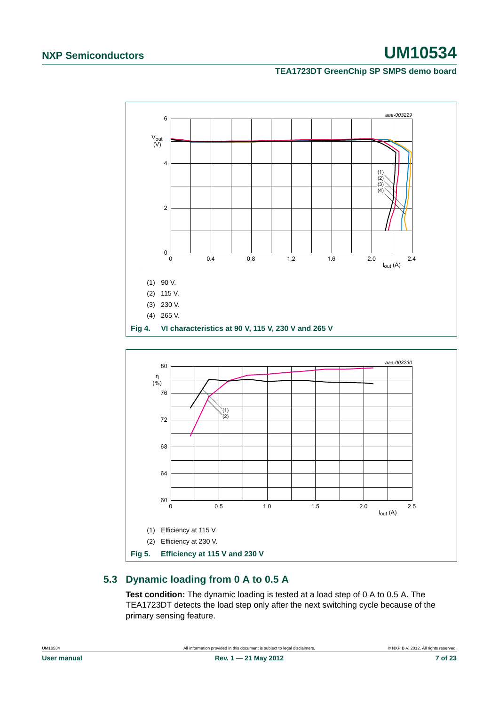### **TEA1723DT GreenChip SP SMPS demo board**

<span id="page-6-1"></span>

### <span id="page-6-2"></span><span id="page-6-0"></span>**5.3 Dynamic loading from 0 A to 0.5 A**

**Test condition:** The dynamic loading is tested at a load step of 0 A to 0.5 A. The TEA1723DT detects the load step only after the next switching cycle because of the primary sensing feature.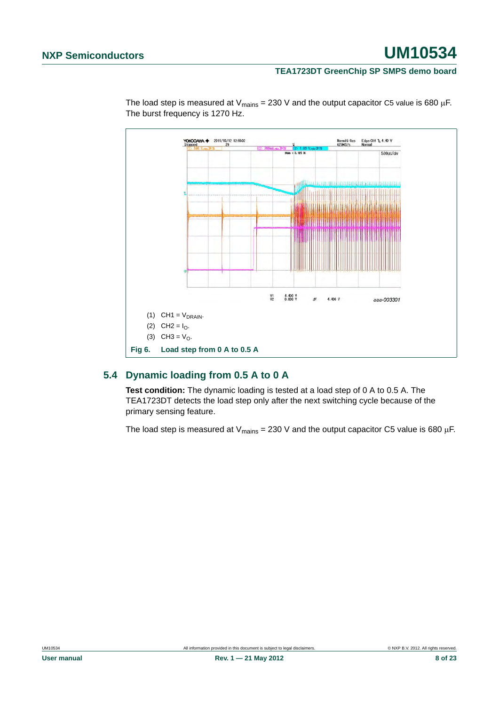#### **TEA1723DT GreenChip SP SMPS demo board**



The load step is measured at  $V_{\text{mains}} = 230 \text{ V}$  and the output capacitor C5 value is 680 µF. The burst frequency is 1270 Hz.

# <span id="page-7-0"></span>**5.4 Dynamic loading from 0.5 A to 0 A**

**Test condition:** The dynamic loading is tested at a load step of 0 A to 0.5 A. The TEA1723DT detects the load step only after the next switching cycle because of the primary sensing feature.

The load step is measured at  $V_{\text{mains}} = 230$  V and the output capacitor C5 value is 680 µF.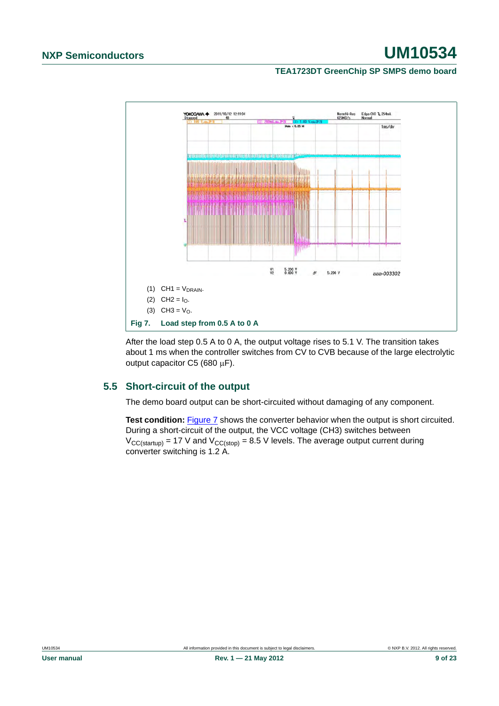#### **TEA1723DT GreenChip SP SMPS demo board**



<span id="page-8-0"></span>After the load step 0.5 A to 0 A, the output voltage rises to 5.1 V. The transition takes about 1 ms when the controller switches from CV to CVB because of the large electrolytic output capacitor  $C5$  (680  $\mu$ F).

### <span id="page-8-1"></span>**5.5 Short-circuit of the output**

The demo board output can be short-circuited without damaging of any component.

**Test condition:** [Figure 7](#page-8-0) shows the converter behavior when the output is short circuited. During a short-circuit of the output, the VCC voltage (CH3) switches between  $V_{CC(statup)}$  = 17 V and  $V_{CC(stop)}$  = 8.5 V levels. The average output current during converter switching is 1.2 A.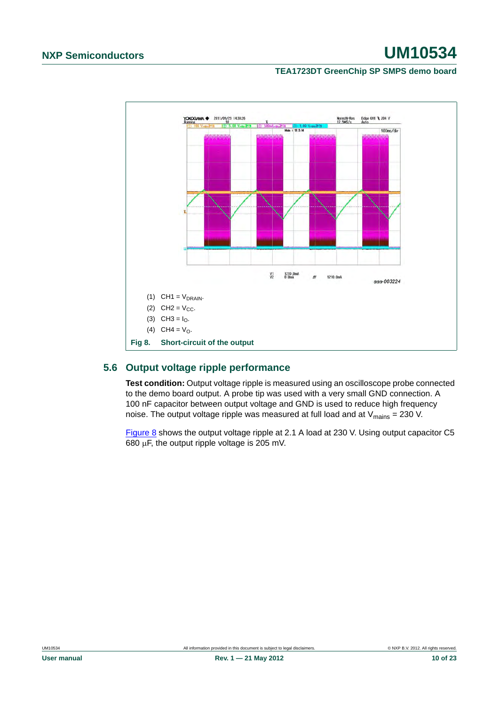### **TEA1723DT GreenChip SP SMPS demo board**



### <span id="page-9-1"></span><span id="page-9-0"></span>**5.6 Output voltage ripple performance**

**Test condition:** Output voltage ripple is measured using an oscilloscope probe connected to the demo board output. A probe tip was used with a very small GND connection. A 100 nF capacitor between output voltage and GND is used to reduce high frequency noise. The output voltage ripple was measured at full load and at  $V_{\text{main}} = 230$  V.

[Figure 8](#page-9-0) shows the output voltage ripple at 2.1 A load at 230 V. Using output capacitor C5 680  $\mu$ F, the output ripple voltage is 205 mV.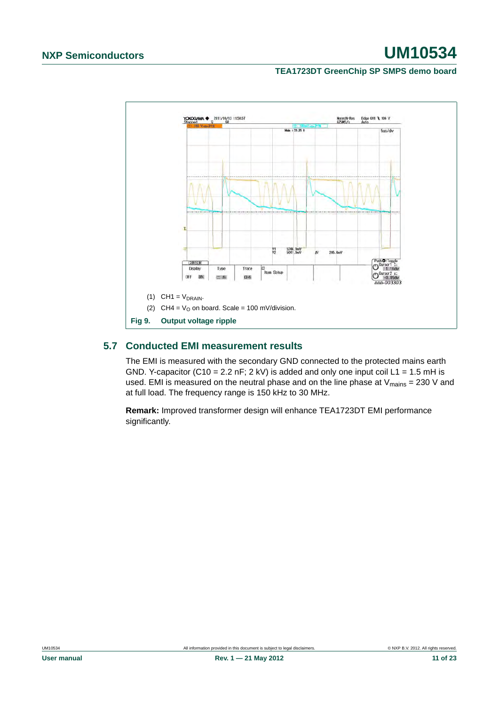### **TEA1723DT GreenChip SP SMPS demo board**



### <span id="page-10-0"></span>**5.7 Conducted EMI measurement results**

The EMI is measured with the secondary GND connected to the protected mains earth GND. Y-capacitor (C10 = 2.2 nF; 2 kV) is added and only one input coil L1 = 1.5 mH is used. EMI is measured on the neutral phase and on the line phase at  $V_{\text{mains}} = 230$  V and at full load. The frequency range is 150 kHz to 30 MHz.

**Remark:** Improved transformer design will enhance TEA1723DT EMI performance significantly.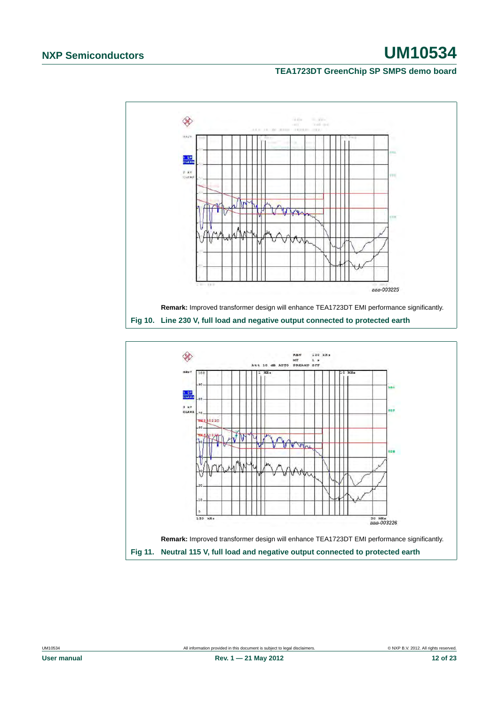#### **TEA1723DT GreenChip SP SMPS demo board**



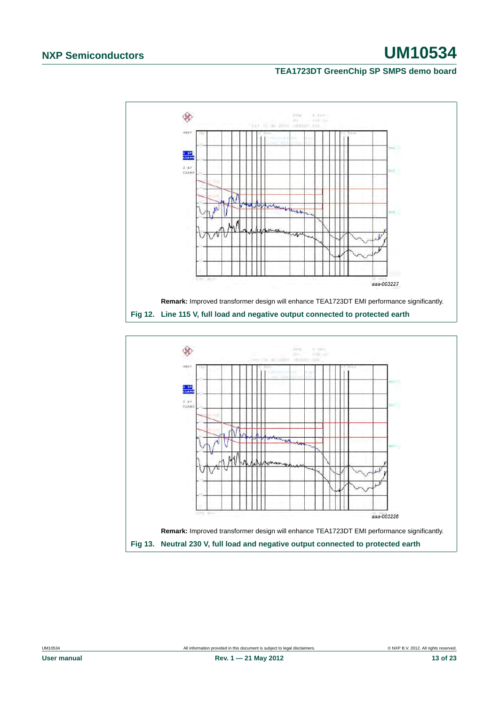#### **TEA1723DT GreenChip SP SMPS demo board**



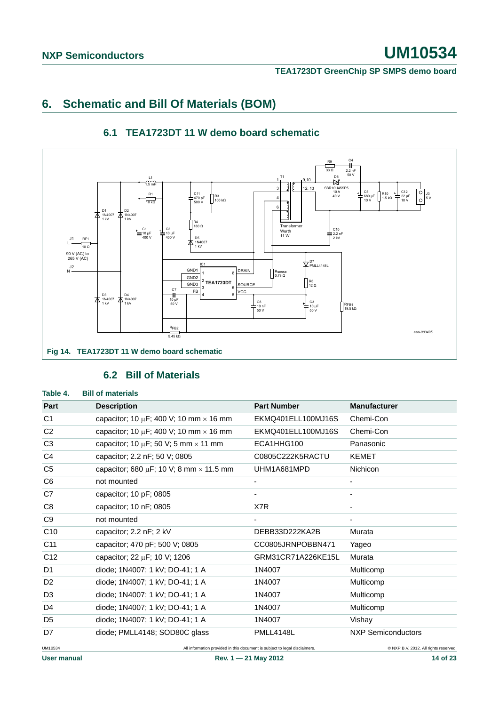#### **TEA1723DT GreenChip SP SMPS demo board**

# <span id="page-13-2"></span>**6. Schematic and Bill Of Materials (BOM)**

<span id="page-13-3"></span>

### **6.1 TEA1723DT 11 W demo board schematic**

#### **6.2 Bill of Materials**

# <span id="page-13-4"></span><span id="page-13-1"></span><span id="page-13-0"></span>UM10534 All information provided in this document is subject to legal disclaimers. © NXP B.V. 2012. All rights reserved. User manual **Rev. 1** — 21 May 2012 **14 Of 23 Table 4. Bill of materials Part Part Manufacturer Part Number Manufacturer** C1 capacitor:  $10 \text{ uF}$ :  $400 \text{ V}$ :  $10 \text{ mm} \times 16 \text{ mm}$  EKMQ401ELL100MJ16S Chemi-Con C2 capacitor;  $10 \mu$ F;  $400 \text{ V}$ ;  $10 \text{ mm} \times 16 \text{ mm}$  EKMQ401ELL100MJ16S Chemi-Con C3 capacitor;  $10 \mu F$ ; 50 V; 5 mm  $\times$  11 mm ECA1HHG100 Panasonic C4 capacitor; 2.2 nF; 50 V; 0805 C0805C222K5RACTU KEMET C5 capacitor; 680  $\mu$ F; 10 V; 8 mm  $\times$  11.5 mm UHM1A681MPD Nichicon C6 not mounted the set of the set of the set of the set of the set of the set of the set of the set of the set of the set of the set of the set of the set of the set of the set of the set of the set of the set of the set o  $C7$  capacitor: 10 pF: 0805 C8 capacitor; 10 nF; 0805 X7R - C9 not mounted - - C10 capacitor; 2.2 nF; 2 kV DEBB33D222KA2B Murata C11 capacitor; 470 pF; 500 V; 0805 CC0805JRNPOBBN471 Yageo C12 capacitor: 22 uF: 10 V: 1206 GRM31CR71A226KE15L Murata D1 diode; 1N4007; 1 kV; DO-41; 1 A 1N4007 Multicomp D2 diode; 1N4007; 1 kV; DO-41; 1 A 1N4007 Multicomp D3 diode; 1N4007; 1 kV; DO-41; 1 A 1N4007 Multicomp D4 diode; 1N4007; 1 kV; DO-41; 1 A 1N4007 Multicomp D5 diode; 1N4007; 1 kV; DO-41; 1 A 1N4007 Vishay D7 diode: PMLL4148; SOD80C glass PMLL4148L NXP Semiconductors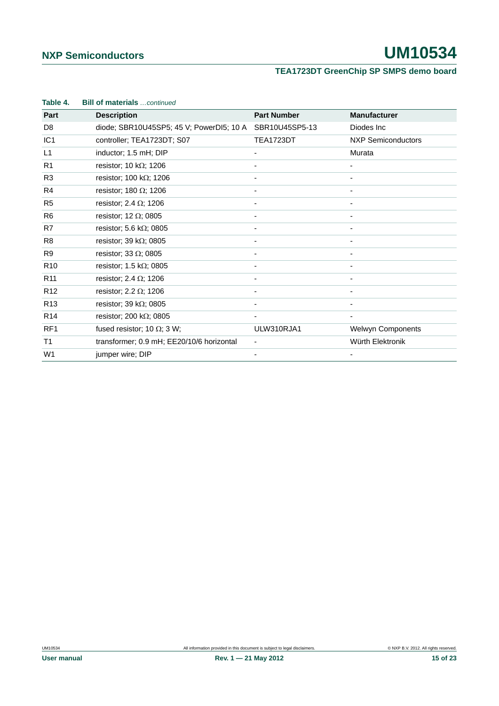# **TEA1723DT GreenChip SP SMPS demo board**

| Table 4.        | <b>Bill of materials</b> continued        |                          |                           |
|-----------------|-------------------------------------------|--------------------------|---------------------------|
| Part            | <b>Description</b>                        | <b>Part Number</b>       | <b>Manufacturer</b>       |
| D <sub>8</sub>  | diode; SBR10U45SP5; 45 V; PowerDI5; 10 A  | SBR10U45SP5-13           | Diodes Inc                |
| IC <sub>1</sub> | controller; TEA1723DT; S07                | TEA1723DT                | <b>NXP Semiconductors</b> |
| L1              | inductor; 1.5 mH; DIP                     | $\overline{\phantom{0}}$ | Murata                    |
| R <sub>1</sub>  | resistor; 10 k $\Omega$ ; 1206            |                          |                           |
| R <sub>3</sub>  | resistor; 100 k $\Omega$ ; 1206           |                          |                           |
| R4              | resistor; 180 $\Omega$ ; 1206             |                          |                           |
| R <sub>5</sub>  | resistor; 2.4 $\Omega$ ; 1206             |                          |                           |
| R <sub>6</sub>  | resistor; 12 $\Omega$ ; 0805              |                          |                           |
| R7              | resistor; 5.6 k $\Omega$ ; 0805           |                          |                           |
| R <sub>8</sub>  | resistor; 39 k $\Omega$ ; 0805            |                          |                           |
| R <sub>9</sub>  | resistor; 33 $\Omega$ ; 0805              |                          |                           |
| R <sub>10</sub> | resistor; 1.5 k $\Omega$ ; 0805           | ٠                        |                           |
| R <sub>11</sub> | resistor; 2.4 $\Omega$ ; 1206             |                          |                           |
| R <sub>12</sub> | resistor; 2.2 $\Omega$ ; 1206             |                          |                           |
| R <sub>13</sub> | resistor; 39 k $\Omega$ ; 0805            |                          |                           |
| R <sub>14</sub> | resistor; 200 k $\Omega$ ; 0805           |                          |                           |
| RF <sub>1</sub> | fused resistor; 10 $\Omega$ ; 3 W;        | ULW310RJA1               | <b>Welwyn Components</b>  |
| T1              | transformer; 0.9 mH; EE20/10/6 horizontal | -                        | Würth Elektronik          |
| W <sub>1</sub>  | jumper wire; DIP                          |                          |                           |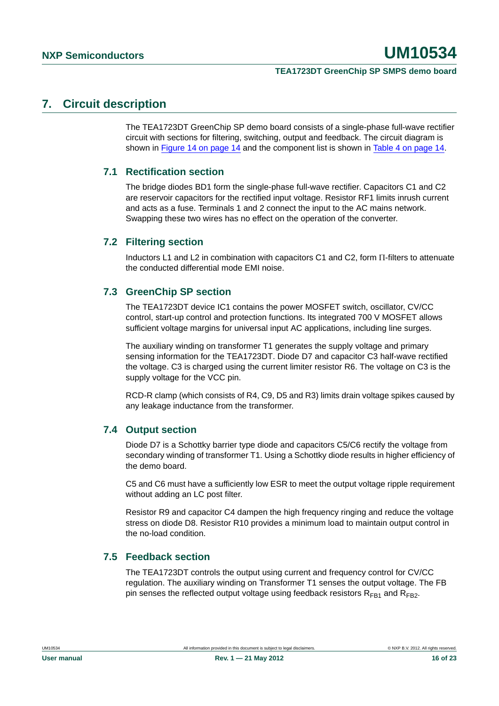#### **TEA1723DT GreenChip SP SMPS demo board**

# <span id="page-15-0"></span>**7. Circuit description**

The TEA1723DT GreenChip SP demo board consists of a single-phase full-wave rectifier circuit with sections for filtering, switching, output and feedback. The circuit diagram is shown in [Figure 14 on page 14](#page-13-0) and the component list is shown in [Table 4 on page 14](#page-13-1).

### <span id="page-15-1"></span>**7.1 Rectification section**

The bridge diodes BD1 form the single-phase full-wave rectifier. Capacitors C1 and C2 are reservoir capacitors for the rectified input voltage. Resistor RF1 limits inrush current and acts as a fuse. Terminals 1 and 2 connect the input to the AC mains network. Swapping these two wires has no effect on the operation of the converter.

### <span id="page-15-2"></span>**7.2 Filtering section**

Inductors L1 and L2 in combination with capacitors C1 and C2, form  $\Pi$ -filters to attenuate the conducted differential mode EMI noise.

### <span id="page-15-3"></span>**7.3 GreenChip SP section**

The TEA1723DT device IC1 contains the power MOSFET switch, oscillator, CV/CC control, start-up control and protection functions. Its integrated 700 V MOSFET allows sufficient voltage margins for universal input AC applications, including line surges.

The auxiliary winding on transformer T1 generates the supply voltage and primary sensing information for the TEA1723DT. Diode D7 and capacitor C3 half-wave rectified the voltage. C3 is charged using the current limiter resistor R6. The voltage on C3 is the supply voltage for the VCC pin.

RCD-R clamp (which consists of R4, C9, D5 and R3) limits drain voltage spikes caused by any leakage inductance from the transformer.

### <span id="page-15-4"></span>**7.4 Output section**

Diode D7 is a Schottky barrier type diode and capacitors C5/C6 rectify the voltage from secondary winding of transformer T1. Using a Schottky diode results in higher efficiency of the demo board.

C5 and C6 must have a sufficiently low ESR to meet the output voltage ripple requirement without adding an LC post filter.

Resistor R9 and capacitor C4 dampen the high frequency ringing and reduce the voltage stress on diode D8. Resistor R10 provides a minimum load to maintain output control in the no-load condition.

### <span id="page-15-5"></span>**7.5 Feedback section**

The TEA1723DT controls the output using current and frequency control for CV/CC regulation. The auxiliary winding on Transformer T1 senses the output voltage. The FB pin senses the reflected output voltage using feedback resistors  $R_{FR1}$  and  $R_{FR2}$ .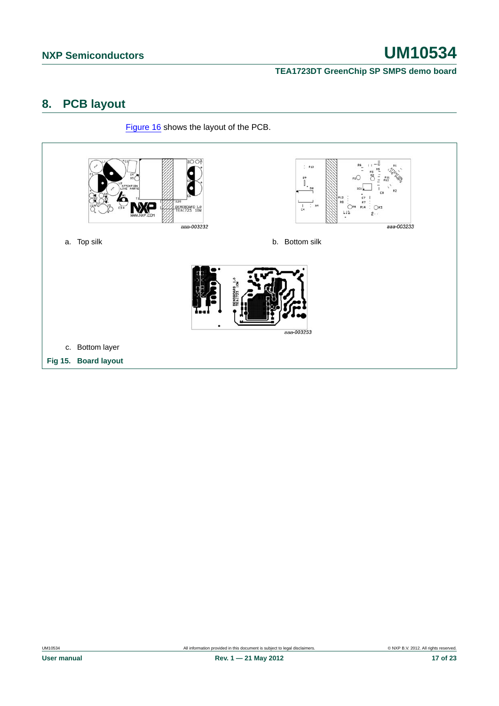**TEA1723DT GreenChip SP SMPS demo board**

# <span id="page-16-0"></span>**8. PCB layout**

[Figure 16](#page-17-0) shows the layout of the PCB.

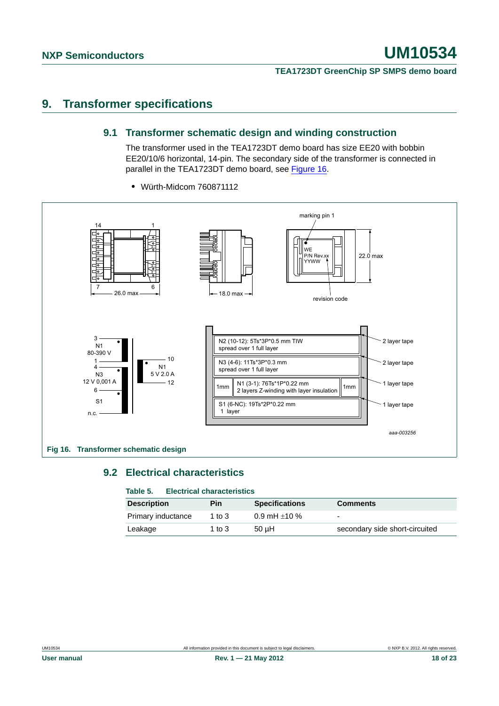#### **TEA1723DT GreenChip SP SMPS demo board**

# <span id="page-17-2"></span><span id="page-17-1"></span>**9. Transformer specifications**

#### **9.1 Transformer schematic design and winding construction**

The transformer used in the TEA1723DT demo board has size EE20 with bobbin EE20/10/6 horizontal, 14-pin. The secondary side of the transformer is connected in parallel in the TEA1723DT demo board, see [Figure 16.](#page-17-0)



**•** Würth-Midcom 760871112

# <span id="page-17-3"></span><span id="page-17-0"></span>**9.2 Electrical characteristics**

### **Table 5. Electrical characteristics**

| <b>Description</b> | Pin      | <b>Specifications</b> | <b>Comments</b>                |
|--------------------|----------|-----------------------|--------------------------------|
| Primary inductance | 1 to $3$ | 0.9 mH $\pm$ 10 %     | -                              |
| Leakage            | 1 to $3$ | $50$ uH               | secondary side short-circuited |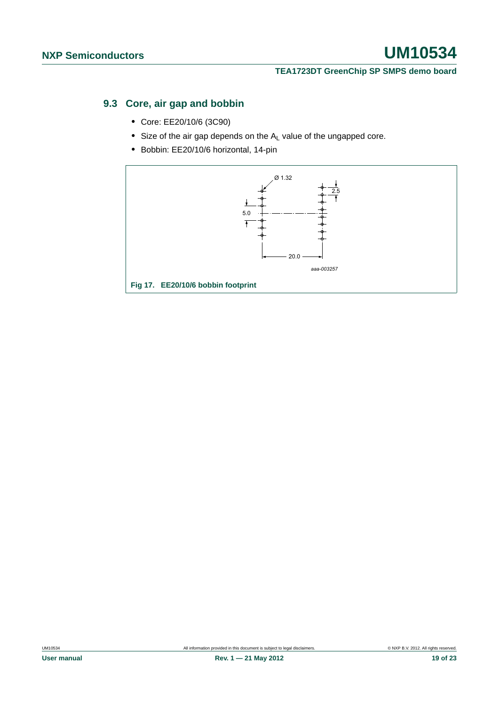#### **TEA1723DT GreenChip SP SMPS demo board**

# <span id="page-18-0"></span>**9.3 Core, air gap and bobbin**

- **•** Core: EE20/10/6 (3C90)
- Size of the air gap depends on the A<sub>L</sub> value of the ungapped core.
- **•** Bobbin: EE20/10/6 horizontal, 14-pin

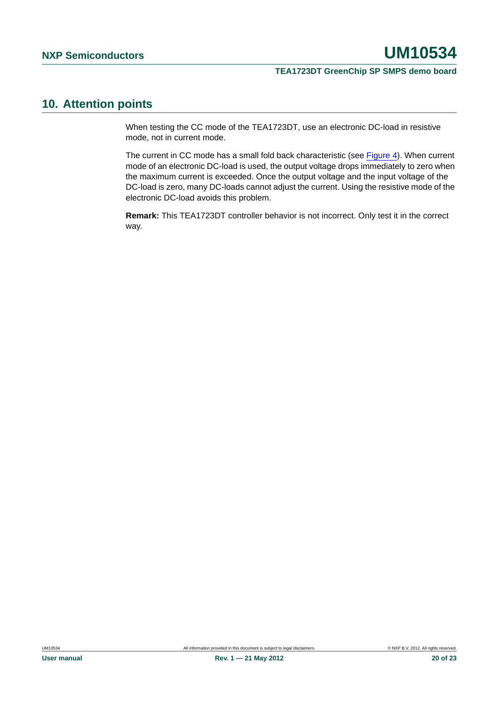#### **TEA1723DT GreenChip SP SMPS demo board**

# <span id="page-19-0"></span>**10. Attention points**

When testing the CC mode of the TEA1723DT, use an electronic DC-load in resistive mode, not in current mode.

The current in CC mode has a small fold back characteristic (see [Figure 4](#page-6-1)). When current mode of an electronic DC-load is used, the output voltage drops immediately to zero when the maximum current is exceeded. Once the output voltage and the input voltage of the DC-load is zero, many DC-loads cannot adjust the current. Using the resistive mode of the electronic DC-load avoids this problem.

**Remark:** This TEA1723DT controller behavior is not incorrect. Only test it in the correct way.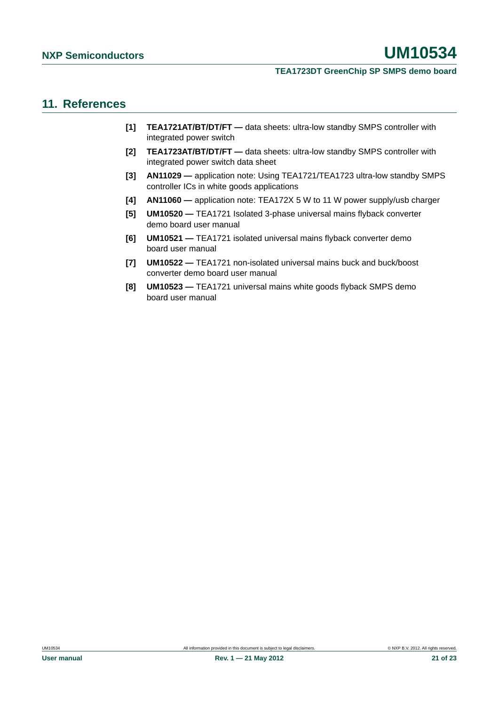#### **TEA1723DT GreenChip SP SMPS demo board**

### <span id="page-20-0"></span>**11. References**

- **[1] TEA1721AT/BT/DT/FT** data sheets: ultra-low standby SMPS controller with integrated power switch
- **[2] TEA1723AT/BT/DT/FT** data sheets: ultra-low standby SMPS controller with integrated power switch data sheet
- **[3] AN11029** application note: Using TEA1721/TEA1723 ultra-low standby SMPS controller ICs in white goods applications
- **[4] AN11060** application note: TEA172X 5 W to 11 W power supply/usb charger
- **[5] UM10520** TEA1721 Isolated 3-phase universal mains flyback converter demo board user manual
- **[6] UM10521** TEA1721 isolated universal mains flyback converter demo board user manual
- **[7] UM10522** TEA1721 non-isolated universal mains buck and buck/boost converter demo board user manual
- **[8] UM10523** TEA1721 universal mains white goods flyback SMPS demo board user manual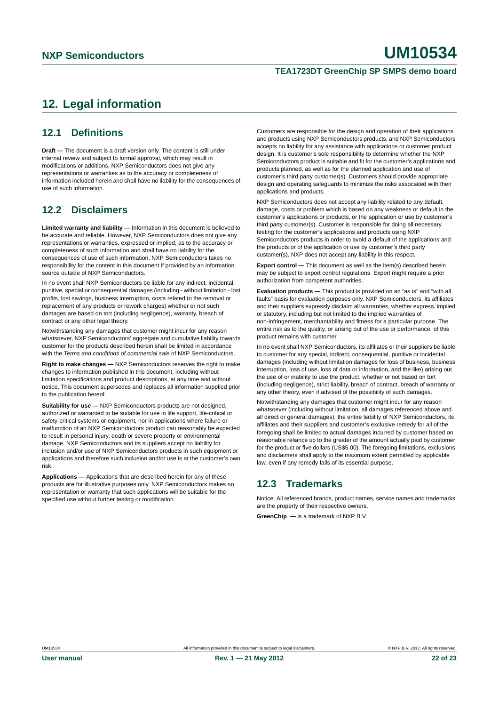#### **TEA1723DT GreenChip SP SMPS demo board**

# <span id="page-21-0"></span>**12. Legal information**

### <span id="page-21-1"></span>**12.1 Definitions**

**Draft —** The document is a draft version only. The content is still under internal review and subject to formal approval, which may result in modifications or additions. NXP Semiconductors does not give any representations or warranties as to the accuracy or completeness of information included herein and shall have no liability for the consequences of use of such information.

### <span id="page-21-2"></span>**12.2 Disclaimers**

**Limited warranty and liability —** Information in this document is believed to be accurate and reliable. However, NXP Semiconductors does not give any representations or warranties, expressed or implied, as to the accuracy or completeness of such information and shall have no liability for the consequences of use of such information. NXP Semiconductors takes no responsibility for the content in this document if provided by an information source outside of NXP Semiconductors.

In no event shall NXP Semiconductors be liable for any indirect, incidental, punitive, special or consequential damages (including - without limitation - lost profits, lost savings, business interruption, costs related to the removal or replacement of any products or rework charges) whether or not such damages are based on tort (including negligence), warranty, breach of contract or any other legal theory.

Notwithstanding any damages that customer might incur for any reason whatsoever, NXP Semiconductors' aggregate and cumulative liability towards customer for the products described herein shall be limited in accordance with the *Terms and conditions of commercial sale* of NXP Semiconductors.

**Right to make changes —** NXP Semiconductors reserves the right to make changes to information published in this document, including without limitation specifications and product descriptions, at any time and without notice. This document supersedes and replaces all information supplied prior to the publication hereof.

**Suitability for use —** NXP Semiconductors products are not designed, authorized or warranted to be suitable for use in life support, life-critical or safety-critical systems or equipment, nor in applications where failure or malfunction of an NXP Semiconductors product can reasonably be expected to result in personal injury, death or severe property or environmental damage. NXP Semiconductors and its suppliers accept no liability for inclusion and/or use of NXP Semiconductors products in such equipment or applications and therefore such inclusion and/or use is at the customer's own risk.

**Applications —** Applications that are described herein for any of these products are for illustrative purposes only. NXP Semiconductors makes no representation or warranty that such applications will be suitable for the specified use without further testing or modification.

Customers are responsible for the design and operation of their applications and products using NXP Semiconductors products, and NXP Semiconductors accepts no liability for any assistance with applications or customer product design. It is customer's sole responsibility to determine whether the NXP Semiconductors product is suitable and fit for the customer's applications and products planned, as well as for the planned application and use of customer's third party customer(s). Customers should provide appropriate design and operating safeguards to minimize the risks associated with their applications and products.

NXP Semiconductors does not accept any liability related to any default, damage, costs or problem which is based on any weakness or default in the customer's applications or products, or the application or use by customer's third party customer(s). Customer is responsible for doing all necessary testing for the customer's applications and products using NXP Semiconductors products in order to avoid a default of the applications and the products or of the application or use by customer's third party customer(s). NXP does not accept any liability in this respect.

**Export control —** This document as well as the item(s) described herein may be subject to export control regulations. Export might require a prior authorization from competent authorities.

**Evaluation products —** This product is provided on an "as is" and "with all faults" basis for evaluation purposes only. NXP Semiconductors, its affiliates and their suppliers expressly disclaim all warranties, whether express, implied or statutory, including but not limited to the implied warranties of non-infringement, merchantability and fitness for a particular purpose. The entire risk as to the quality, or arising out of the use or performance, of this product remains with customer.

In no event shall NXP Semiconductors, its affiliates or their suppliers be liable to customer for any special, indirect, consequential, punitive or incidental damages (including without limitation damages for loss of business, business interruption, loss of use, loss of data or information, and the like) arising out the use of or inability to use the product, whether or not based on tort (including negligence), strict liability, breach of contract, breach of warranty or any other theory, even if advised of the possibility of such damages.

Notwithstanding any damages that customer might incur for any reason whatsoever (including without limitation, all damages referenced above and all direct or general damages), the entire liability of NXP Semiconductors, its affiliates and their suppliers and customer's exclusive remedy for all of the foregoing shall be limited to actual damages incurred by customer based on reasonable reliance up to the greater of the amount actually paid by customer for the product or five dollars (US\$5.00). The foregoing limitations, exclusions and disclaimers shall apply to the maximum extent permitted by applicable law, even if any remedy fails of its essential purpose.

# <span id="page-21-3"></span>**12.3 Trademarks**

Notice: All referenced brands, product names, service names and trademarks are the property of their respective owners.

**GreenChip —** is a trademark of NXP B.V.